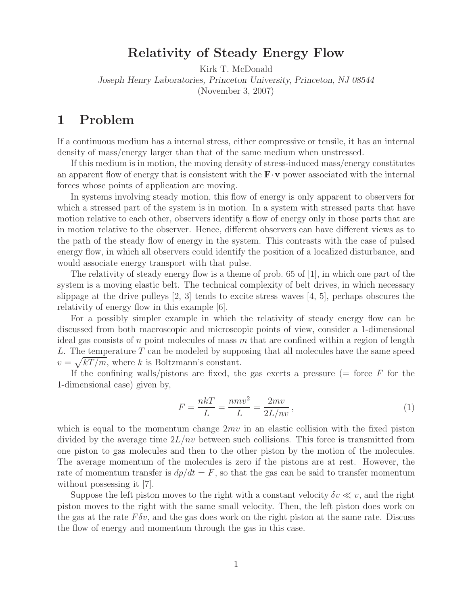# **Relativity of Steady Energy Flow**

Kirk T. McDonald *Joseph Henry Laboratories, Princeton University, Princeton, NJ 08544* (November 3, 2007)

### **1 Problem**

If a continuous medium has a internal stress, either compressive or tensile, it has an internal density of mass/energy larger than that of the same medium when unstressed.

If this medium is in motion, the moving density of stress-induced mass/energy constitutes an apparent flow of energy that is consistent with the  $\mathbf{F} \cdot \mathbf{v}$  power associated with the internal forces whose points of application are moving.

In systems involving steady motion, this flow of energy is only apparent to observers for which a stressed part of the system is in motion. In a system with stressed parts that have motion relative to each other, observers identify a flow of energy only in those parts that are in motion relative to the observer. Hence, different observers can have different views as to the path of the steady flow of energy in the system. This contrasts with the case of pulsed energy flow, in which all observers could identify the position of a localized disturbance, and would associate energy transport with that pulse.

The relativity of steady energy flow is a theme of prob. 65 of [1], in which one part of the system is a moving elastic belt. The technical complexity of belt drives, in which necessary slippage at the drive pulleys  $[2, 3]$  tends to excite stress waves  $[4, 5]$ , perhaps obscures the relativity of energy flow in this example [6].

For a possibly simpler example in which the relativity of steady energy flow can be discussed from both macroscopic and microscopic points of view, consider a 1-dimensional ideal gas consists of n point molecules of mass  $m$  that are confined within a region of length L. The temperature  $T$  can be modeled by supposing that all molecules have the same speed  $v = \sqrt{kT/m}$ , where k is Boltzmann's constant.

If the confining walls/pistons are fixed, the gas exerts a pressure ( $=$  force  $F$  for the 1-dimensional case) given by,

$$
F = \frac{nkT}{L} = \frac{nmv^2}{L} = \frac{2mv}{2L/nv},\tag{1}
$$

which is equal to the momentum change  $2mv$  in an elastic collision with the fixed piston divided by the average time  $2L/nv$  between such collisions. This force is transmitted from one piston to gas molecules and then to the other piston by the motion of the molecules. The average momentum of the molecules is zero if the pistons are at rest. However, the rate of momentum transfer is  $dp/dt = F$ , so that the gas can be said to transfer momentum without possessing it [7].

Suppose the left piston moves to the right with a constant velocity  $\delta v \ll v$ , and the right piston moves to the right with the same small velocity. Then, the left piston does work on the gas at the rate  $F \delta v$ , and the gas does work on the right piston at the same rate. Discuss the flow of energy and momentum through the gas in this case.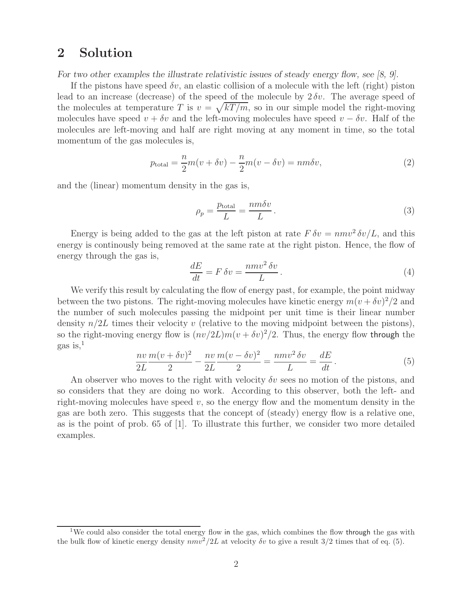# **2 Solution**

*For two other examples the illustrate relativistic issues of steady energy flow, see [8, 9].*

If the pistons have speed  $\delta v$ , an elastic collision of a molecule with the left (right) piston lead to an increase (decrease) of the speed of the molecule by  $2 \delta v$ . The average speed of the molecules at temperature T is  $v = \sqrt{kT/m}$ , so in our simple model the right-moving molecules have speed  $v + \delta v$  and the left-moving molecules have speed  $v - \delta v$ . Half of the molecules are left-moving and half are right moving at any moment in time, so the total momentum of the gas molecules is,

$$
p_{\text{total}} = \frac{n}{2}m(v + \delta v) - \frac{n}{2}m(v - \delta v) = nm\delta v,\tag{2}
$$

and the (linear) momentum density in the gas is,

$$
\rho_p = \frac{p_{\text{total}}}{L} = \frac{nm\delta v}{L} \,. \tag{3}
$$

Energy is being added to the gas at the left piston at rate  $F \delta v = n m v^2 \delta v / L$ , and this energy is continously being removed at the same rate at the right piston. Hence, the flow of energy through the gas is,

$$
\frac{dE}{dt} = F \,\delta v = \frac{nmv^2 \,\delta v}{L} \,. \tag{4}
$$

We verify this result by calculating the flow of energy past, for example, the point midway between the two pistons. The right-moving molecules have kinetic energy  $m(v + \delta v)^2/2$  and the number of such molecules passing the midpoint per unit time is their linear number density  $n/2L$  times their velocity v (relative to the moving midpoint between the pistons), so the right-moving energy flow is  $(nv/2L)m(v + \delta v)^2/2$ . Thus, the energy flow through the gas is, $<sup>1</sup>$ </sup>

$$
\frac{nv}{2L}\frac{m(v+\delta v)^2}{2} - \frac{nv}{2L}\frac{m(v-\delta v)^2}{2} = \frac{nmv^2\,\delta v}{L} = \frac{dE}{dt}.
$$
\n(5)

An observer who moves to the right with velocity  $\delta v$  sees no motion of the pistons, and so considers that they are doing no work. According to this observer, both the left- and right-moving molecules have speed  $v$ , so the energy flow and the momentum density in the gas are both zero. This suggests that the concept of (steady) energy flow is a relative one, as is the point of prob. 65 of [1]. To illustrate this further, we consider two more detailed examples.

<sup>&</sup>lt;sup>1</sup>We could also consider the total energy flow in the gas, which combines the flow through the gas with the bulk flow of kinetic energy density  $nmv^2/2L$  at velocity  $\delta v$  to give a result  $3/2$  times that of eq. (5).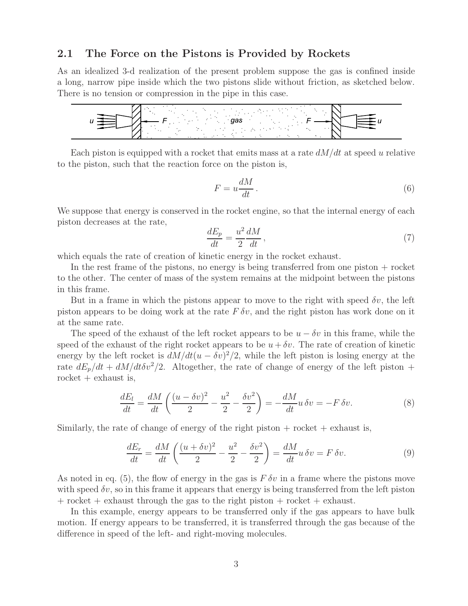### **2.1 The Force on the Pistons is Provided by Rockets**

As an idealized 3-d realization of the present problem suppose the gas is confined inside a long, narrow pipe inside which the two pistons slide without friction, as sketched below. There is no tension or compression in the pipe in this case.



Each piston is equipped with a rocket that emits mass at a rate  $dM/dt$  at speed u relative to the piston, such that the reaction force on the piston is,

$$
F = u \frac{dM}{dt} \,. \tag{6}
$$

We suppose that energy is conserved in the rocket engine, so that the internal energy of each piston decreases at the rate,

$$
\frac{dE_p}{dt} = \frac{u^2}{2} \frac{dM}{dt},\tag{7}
$$

which equals the rate of creation of kinetic energy in the rocket exhaust.

In the rest frame of the pistons, no energy is being transferred from one piston + rocket to the other. The center of mass of the system remains at the midpoint between the pistons in this frame.

But in a frame in which the pistons appear to move to the right with speed  $\delta v$ , the left piston appears to be doing work at the rate  $F \delta v$ , and the right piston has work done on it at the same rate.

The speed of the exhaust of the left rocket appears to be  $u - \delta v$  in this frame, while the speed of the exhaust of the right rocket appears to be  $u + \delta v$ . The rate of creation of kinetic energy by the left rocket is  $dM/dt(u - \delta v)^2/2$ , while the left piston is losing energy at the rate  $dE_p/dt + dM/dt \delta v^2/2$ . Altogether, the rate of change of energy of the left piston + rocket  $+$  exhaust is,

$$
\frac{dE_l}{dt} = \frac{dM}{dt} \left( \frac{(u - \delta v)^2}{2} - \frac{u^2}{2} - \frac{\delta v^2}{2} \right) = -\frac{dM}{dt} u \, \delta v = -F \, \delta v. \tag{8}
$$

Similarly, the rate of change of energy of the right piston  $+$  rocket  $+$  exhaust is,

$$
\frac{dE_r}{dt} = \frac{dM}{dt} \left( \frac{(u + \delta v)^2}{2} - \frac{u^2}{2} - \frac{\delta v^2}{2} \right) = \frac{dM}{dt} u \, \delta v = F \, \delta v. \tag{9}
$$

As noted in eq. (5), the flow of energy in the gas is  $F \delta v$  in a frame where the pistons move with speed  $\delta v$ , so in this frame it appears that energy is being transferred from the left piston + rocket + exhaust through the gas to the right piston + rocket + exhaust.

In this example, energy appears to be transferred only if the gas appears to have bulk motion. If energy appears to be transferred, it is transferred through the gas because of the difference in speed of the left- and right-moving molecules.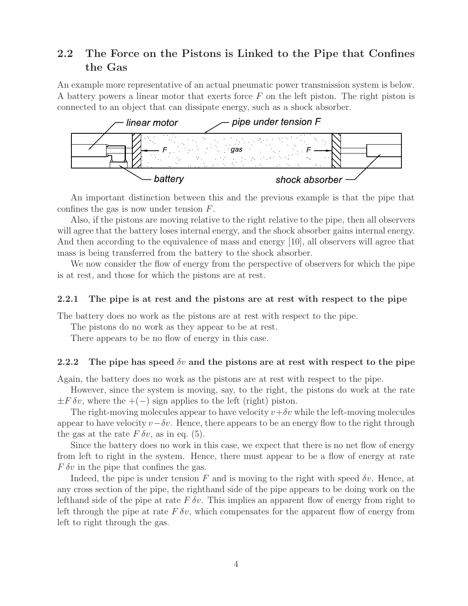### **2.2 The Force on the Pistons is Linked to the Pipe that Confines the Gas**

An example more representative of an actual pneumatic power transmission system is below. A battery powers a linear motor that exerts force  $F$  on the left piston. The right piston is connected to an object that can dissipate energy, such as a shock absorber.



An important distinction between this and the previous example is that the pipe that confines the gas is now under tension F.

Also, if the pistons are moving relative to the right relative to the pipe, then all observers will agree that the battery loses internal energy, and the shock absorber gains internal energy. And then according to the equivalence of mass and energy [10], all observers will agree that mass is being transferred from the battery to the shock absorber.

We now consider the flow of energy from the perspective of observers for which the pipe is at rest, and those for which the pistons are at rest.

### **2.2.1 The pipe is at rest and the pistons are at rest with respect to the pipe**

The battery does no work as the pistons are at rest with respect to the pipe.

The pistons do no work as they appear to be at rest.

There appears to be no flow of energy in this case.

### **2.2.2 The pipe has speed** δv **and the pistons are at rest with respect to the pipe**

Again, the battery does no work as the pistons are at rest with respect to the pipe.

However, since the system is moving, say, to the right, the pistons do work at the rate  $\pm F \, \delta v$ , where the  $+(-)$  sign applies to the left (right) piston.

The right-moving molecules appear to have velocity  $v+\delta v$  while the left-moving molecules appear to have velocity  $v-\delta v$ . Hence, there appears to be an energy flow to the right through the gas at the rate  $F \delta v$ , as in eq. (5).

Since the battery does no work in this case, we expect that there is no net flow of energy from left to right in the system. Hence, there must appear to be a flow of energy at rate  $F \delta v$  in the pipe that confines the gas.

Indeed, the pipe is under tension F and is moving to the right with speed  $\delta v$ . Hence, at any cross section of the pipe, the righthand side of the pipe appears to be doing work on the lefthand side of the pipe at rate  $F \delta v$ . This implies an apparent flow of energy from right to left through the pipe at rate  $F \delta v$ , which compensates for the apparent flow of energy from left to right through the gas.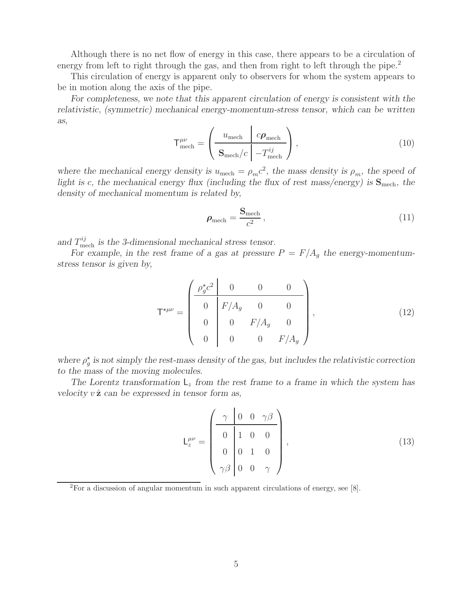Although there is no net flow of energy in this case, there appears to be a circulation of energy from left to right through the gas, and then from right to left through the pipe.<sup>2</sup>

This circulation of energy is apparent only to observers for whom the system appears to be in motion along the axis of the pipe.

*For completeness, we note that this apparent circulation of energy is consistent with the relativistic, (symmetric) mechanical energy-momentum-stress tensor, which can be written as,*

$$
\mathsf{T}^{\mu\nu}_{\text{mech}} = \left(\frac{u_{\text{mech}} \left| c \boldsymbol{\rho}_{\text{mech}} \right|}{\mathbf{S}_{\text{mech}}/c \left| -T^{ij}_{\text{mech}} \right|} \right),\tag{10}
$$

*where the mechanical energy density is*  $u_{\text{mech}} = \rho_m c^2$ , the mass density is  $\rho_m$ , the speed of *light is* c, the mechanical energy flux (including the flux of rest mass/energy) is  $S_{\text{mech}}$ , the *density of mechanical momentum is related by,*

$$
\rho_{\text{mech}} = \frac{\mathbf{S}_{\text{mech}}}{c^2},\tag{11}
$$

and  $T_{\text{mech}}^{ij}$  is the 3-dimensional mechanical stress tensor.

For example, in the rest frame of a gas at pressure  $P = F/A_q$  the energy-momentum*stress tensor is given by,*

$$
\mathsf{T}^{\star\mu\nu} = \begin{pmatrix} \frac{\rho_g^{\star} c^2}{0} & 0 & 0 & 0 \\ 0 & F/A_g & 0 & 0 \\ 0 & 0 & F/A_g & 0 \\ 0 & 0 & 0 & F/A_g \end{pmatrix}, \tag{12}
$$

where  $\rho_g^*$  is not simply the rest-mass density of the gas, but includes the relativistic correction to the mass of the maying malgarity *to the mass of the moving molecules.*

The Lorentz transformation  $L_z$  from the rest frame to a frame in which the system has *velocity*  $v \hat{z}$  *can be expressed in tensor form as,* 

$$
\mathsf{L}_{z}^{\mu\nu} = \begin{pmatrix} \gamma & 0 & 0 & \gamma\beta \\ 0 & 1 & 0 & 0 \\ 0 & 0 & 1 & 0 \\ \gamma\beta & 0 & 0 & \gamma \end{pmatrix},
$$
(13)

<sup>2</sup>For a discussion of angular momentum in such apparent circulations of energy, see [8].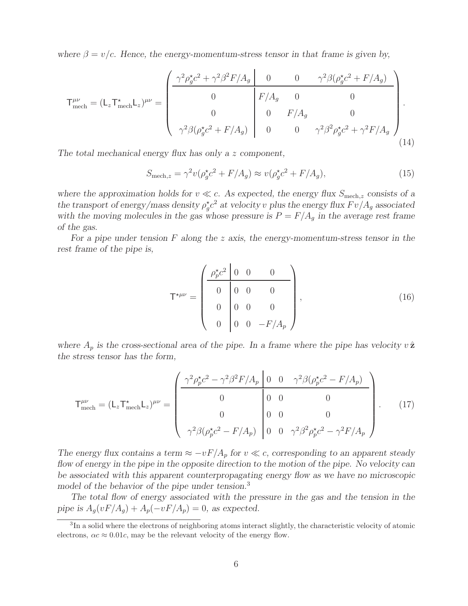*where*  $\beta = v/c$ *. Hence, the energy-momentum-stress tensor in that frame is given by,* 

$$
\mathsf{T}^{\mu\nu}_{\text{mech}} = (\mathsf{L}_{z} \mathsf{T}^{\star}_{\text{mech}} \mathsf{L}_{z})^{\mu\nu} = \begin{pmatrix} \frac{\gamma^{2} \rho_{g}^{\star} c^{2} + \gamma^{2} \beta^{2} F / A_{g} & 0 & 0 & \gamma^{2} \beta (\rho_{g}^{\star} c^{2} + F / A_{g})}{0 & 0 & 0 & 0 \ 0 & 0 & F / A_{g} & 0 & 0 \ \gamma^{2} \beta (\rho_{g}^{\star} c^{2} + F / A_{g}) & 0 & 0 & \gamma^{2} \beta^{2} \rho_{g}^{\star} c^{2} + \gamma^{2} F / A_{g} \end{pmatrix} . \tag{14}
$$

*The total mechanical energy flux has only a* z *component,*

$$
S_{\text{mech},z} = \gamma^2 v (\rho_g^{\star} c^2 + F/A_g) \approx v (\rho_g^{\star} c^2 + F/A_g), \qquad (15)
$$

where the approximation holds for  $v \ll c$ . As expected, the energy flux  $S_{\text{mech},z}$  consists of a<br>the transment of angular constant in  $z^2$  of redesiting plus the summa flux  $F_{\text{rel}}(A)$  associated *the transport of energy/mass density*  $\rho_g^* c^2$  *at velocity v plus the energy flux*  $F v/A_g$  *associated* with the moving molecules in the gas whose pressure is  $P = F/A$  in the average rest frame with the moving molecules in the gas whose pressure is  $P = F/A<sub>g</sub>$  in the average rest frame *of the gas.*

*For a pipe under tension* F *along the* z *axis, the energy-momentum-stress tensor in the rest frame of the pipe is,*

$$
\mathsf{T}^{\star\mu\nu} = \begin{pmatrix} \frac{\rho_p^{\star} c^2 & 0 & 0 & 0 \\ 0 & 0 & 0 & 0 \\ 0 & 0 & 0 & 0 \\ 0 & 0 & 0 & -F/A_p \end{pmatrix},\tag{16}
$$

where  $A_p$  is the cross-sectional area of the pipe. In a frame where the pipe has velocity  $v \hat{z}$ *the stress tensor has the form,*

$$
\mathsf{T}^{\mu\nu}_{\text{mech}} = (\mathsf{L}_z \mathsf{T}^{\star}_{\text{mech}} \mathsf{L}_z)^{\mu\nu} = \begin{pmatrix} \frac{\gamma^2 \rho_p^{\star} c^2 - \gamma^2 \beta^2 F / A_p \left[ 0 & 0 & \gamma^2 \beta (\rho_p^{\star} c^2 - F / A_p) \right]}{0 & 0 & 0} \\ 0 & 0 & 0 & 0 \\ \gamma^2 \beta (\rho_p^{\star} c^2 - F / A_p) \left[ 0 & 0 & \gamma^2 \beta^2 \rho_p^{\star} c^2 - \gamma^2 F / A_p \right] \end{pmatrix} . \tag{17}
$$

*The energy flux contains a term*  $\approx -vF/A_p$  *for*  $v \ll c$ , corresponding to an apparent steady *flow of energy in the pipe in the opposite direction to the motion of the pipe. No velocity can be associated with this apparent counterpropagating energy flow as we have no microscopic model of the behavior of the pipe under tension.*<sup>3</sup>

*The total flow of energy associated with the pressure in the gas and the tension in the pipe is*  $A_q(vF/A_q) + A_p(-vF/A_p) = 0$ *, as expected.* 

<sup>3</sup>In a solid where the electrons of neighboring atoms interact slightly, the characteristic velocity of atomic electrons,  $\alpha c \approx 0.01c$ , may be the relevant velocity of the energy flow.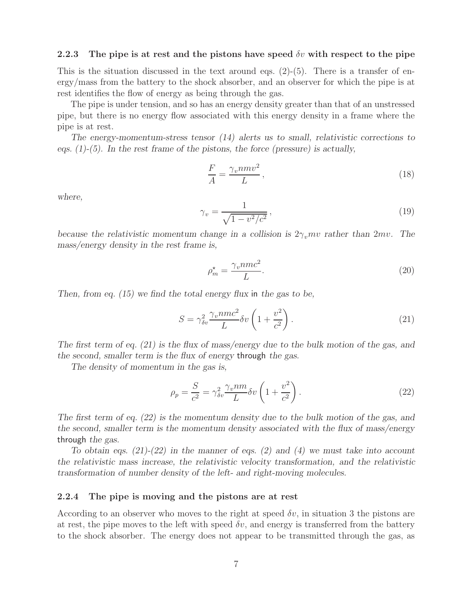#### **2.2.3** The pipe is at rest and the pistons have speed  $\delta v$  with respect to the pipe

This is the situation discussed in the text around eqs.  $(2)-(5)$ . There is a transfer of energy/mass from the battery to the shock absorber, and an observer for which the pipe is at rest identifies the flow of energy as being through the gas.

The pipe is under tension, and so has an energy density greater than that of an unstressed pipe, but there is no energy flow associated with this energy density in a frame where the pipe is at rest.

*The energy-momentum-stress tensor (14) alerts us to small, relativistic corrections to eqs. (1)-(5). In the rest frame of the pistons, the force (pressure) is actually,*

$$
\frac{F}{A} = \frac{\gamma_v n m v^2}{L},\tag{18}
$$

*where,*

$$
\gamma_v = \frac{1}{\sqrt{1 - v^2/c^2}},\tag{19}
$$

*because the relativistic momentum change in a collision is*  $2\gamma_n mv$  *rather than*  $2mv$ . The *mass/energy density in the rest frame is,*

$$
\rho_m^* = \frac{\gamma_v nmc^2}{L}.\tag{20}
$$

*Then, from eq. (15) we find the total energy flux* in *the gas to be,*

$$
S = \gamma_{\delta v}^2 \frac{\gamma_v nmc^2}{L} \delta v \left( 1 + \frac{v^2}{c^2} \right). \tag{21}
$$

*The first term of eq. (21) is the flux of mass/energy due to the bulk motion of the gas, and the second, smaller term is the flux of energy* through *the gas.*

*The density of momentum in the gas is,*

$$
\rho_p = \frac{S}{c^2} = \gamma_{\delta v}^2 \frac{\gamma_v n m}{L} \delta v \left( 1 + \frac{v^2}{c^2} \right). \tag{22}
$$

*The first term of eq. (22) is the momentum density due to the bulk motion of the gas, and the second, smaller term is the momentum density associated with the flux of mass/energy* through *the gas.*

*To obtain eqs. (21)-(22) in the manner of eqs. (2) and (4) we must take into account the relativistic mass increase, the relativistic velocity transformation, and the relativistic transformation of number density of the left- and right-moving molecules.*

#### **2.2.4 The pipe is moving and the pistons are at rest**

According to an observer who moves to the right at speed  $\delta v$ , in situation 3 the pistons are at rest, the pipe moves to the left with speed  $\delta v$ , and energy is transferred from the battery to the shock absorber. The energy does not appear to be transmitted through the gas, as